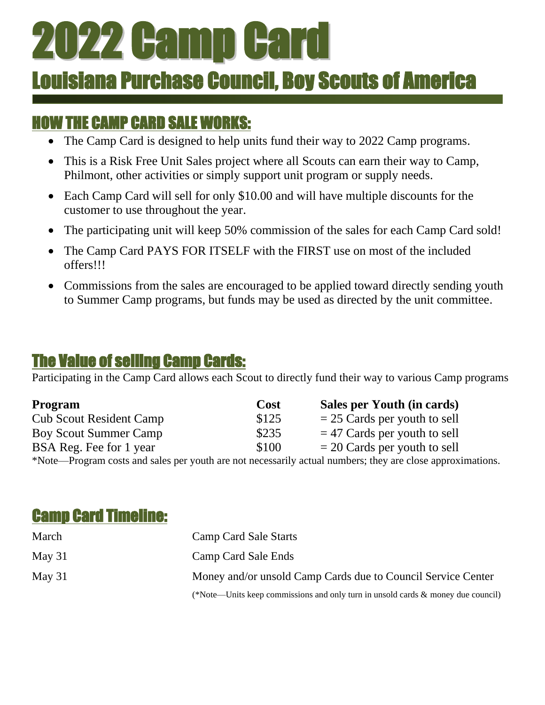# 2022 Camp Card

## Louisiana Purchase Council, Boy Scouts of America

### HOW THE CAMP CARD SALE WORKS:

 $\overline{a}$ 

- The Camp Card is designed to help units fund their way to 2022 Camp programs.
- This is a Risk Free Unit Sales project where all Scouts can earn their way to Camp, Philmont, other activities or simply support unit program or supply needs.
- Each Camp Card will sell for only \$10.00 and will have multiple discounts for the customer to use throughout the year.
- The participating unit will keep 50% commission of the sales for each Camp Card sold!
- The Camp Card PAYS FOR ITSELF with the FIRST use on most of the included offers!!!
- Commissions from the sales are encouraged to be applied toward directly sending youth to Summer Camp programs, but funds may be used as directed by the unit committee.

### The Value of selling Camp Cards:

Participating in the Camp Card allows each Scout to directly fund their way to various Camp programs

| <b>Program</b>                 | Cost  | Sales per Youth (in cards)     |
|--------------------------------|-------|--------------------------------|
| <b>Cub Scout Resident Camp</b> | \$125 | $= 25$ Cards per youth to sell |
| <b>Boy Scout Summer Camp</b>   | \$235 | $=$ 47 Cards per youth to sell |
| BSA Reg. Fee for 1 year        | \$100 | $= 20$ Cards per youth to sell |
|                                |       |                                |

\*Note—Program costs and sales per youth are not necessarily actual numbers; they are close approximations.

#### Camp Card Timeline:

| March    | Camp Card Sale Starts                                                               |
|----------|-------------------------------------------------------------------------------------|
| May $31$ | Camp Card Sale Ends                                                                 |
| May $31$ | Money and/or unsold Camp Cards due to Council Service Center                        |
|          | (*Note—Units keep commissions and only turn in unsold cards $\&$ money due council) |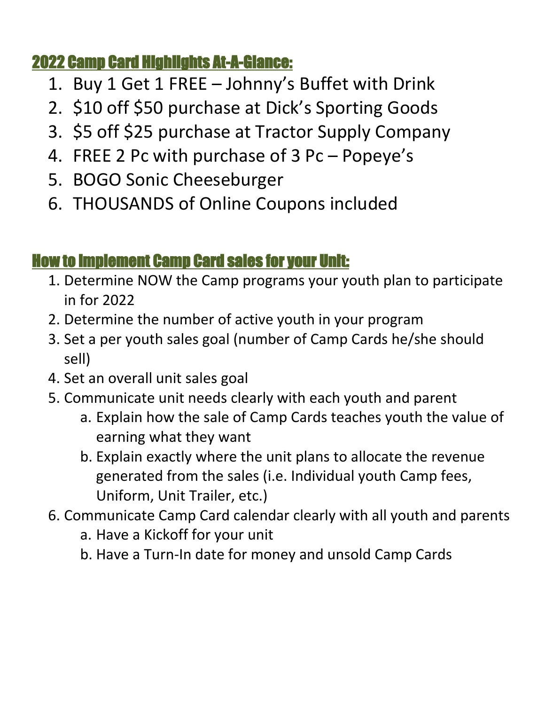#### 2022 Camp Card Highlights At-A-Glance:

- 1. Buy 1 Get 1 FREE Johnny's Buffet with Drink
- 2. \$10 off \$50 purchase at Dick's Sporting Goods
- 3. \$5 off \$25 purchase at Tractor Supply Company
- 4. FREE 2 Pc with purchase of 3 Pc Popeye's
- 5. BOGO Sonic Cheeseburger
- 6. THOUSANDS of Online Coupons included

### How to implement Camp Card sales for your Unit:

- 1. Determine NOW the Camp programs your youth plan to participate in for 2022
- 2. Determine the number of active youth in your program
- 3. Set a per youth sales goal (number of Camp Cards he/she should sell)
- 4. Set an overall unit sales goal
- 5. Communicate unit needs clearly with each youth and parent
	- a. Explain how the sale of Camp Cards teaches youth the value of earning what they want
	- b. Explain exactly where the unit plans to allocate the revenue generated from the sales (i.e. Individual youth Camp fees, Uniform, Unit Trailer, etc.)
- 6. Communicate Camp Card calendar clearly with all youth and parents
	- a. Have a Kickoff for your unit
	- b. Have a Turn-In date for money and unsold Camp Cards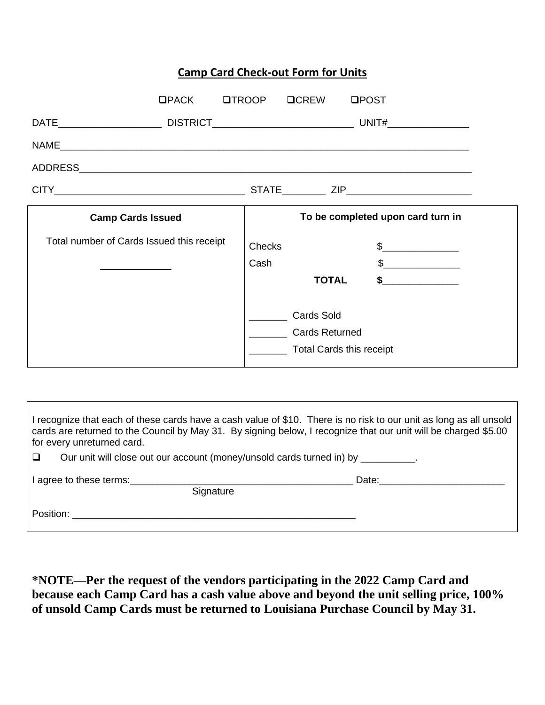#### **Camp Card Check-out Form for Units**

|                                           | UPACK UTROOP UCREW |                                                                        | <b>QPOST</b>                      |  |
|-------------------------------------------|--------------------|------------------------------------------------------------------------|-----------------------------------|--|
|                                           |                    |                                                                        |                                   |  |
|                                           |                    |                                                                        |                                   |  |
|                                           |                    |                                                                        |                                   |  |
|                                           |                    |                                                                        |                                   |  |
| <b>Camp Cards Issued</b>                  |                    |                                                                        | To be completed upon card turn in |  |
| Total number of Cards Issued this receipt | <b>Checks</b>      |                                                                        |                                   |  |
|                                           | Cash               |                                                                        | $\frac{1}{2}$                     |  |
|                                           |                    | <b>TOTAL</b>                                                           |                                   |  |
|                                           |                    | Cards Sold<br><b>Cards Returned</b><br><b>Total Cards this receipt</b> |                                   |  |

| I recognize that each of these cards have a cash value of \$10. There is no risk to our unit as long as all unsold<br>cards are returned to the Council by May 31. By signing below, I recognize that our unit will be charged \$5.00<br>for every unreturned card. |                                                                                                                                                                                                                                |  |  |  |  |  |  |
|---------------------------------------------------------------------------------------------------------------------------------------------------------------------------------------------------------------------------------------------------------------------|--------------------------------------------------------------------------------------------------------------------------------------------------------------------------------------------------------------------------------|--|--|--|--|--|--|
| Our unit will close out our account (money/unsold cards turned in) by __________.<br>□                                                                                                                                                                              |                                                                                                                                                                                                                                |  |  |  |  |  |  |
| I agree to these terms:                                                                                                                                                                                                                                             | Date: the contract of the contract of the contract of the contract of the contract of the contract of the contract of the contract of the contract of the contract of the contract of the contract of the contract of the cont |  |  |  |  |  |  |
| Signature                                                                                                                                                                                                                                                           |                                                                                                                                                                                                                                |  |  |  |  |  |  |
| Position: <b>Example 2019</b>                                                                                                                                                                                                                                       |                                                                                                                                                                                                                                |  |  |  |  |  |  |
|                                                                                                                                                                                                                                                                     |                                                                                                                                                                                                                                |  |  |  |  |  |  |

**\*NOTE—Per the request of the vendors participating in the 2022 Camp Card and because each Camp Card has a cash value above and beyond the unit selling price, 100% of unsold Camp Cards must be returned to Louisiana Purchase Council by May 31.**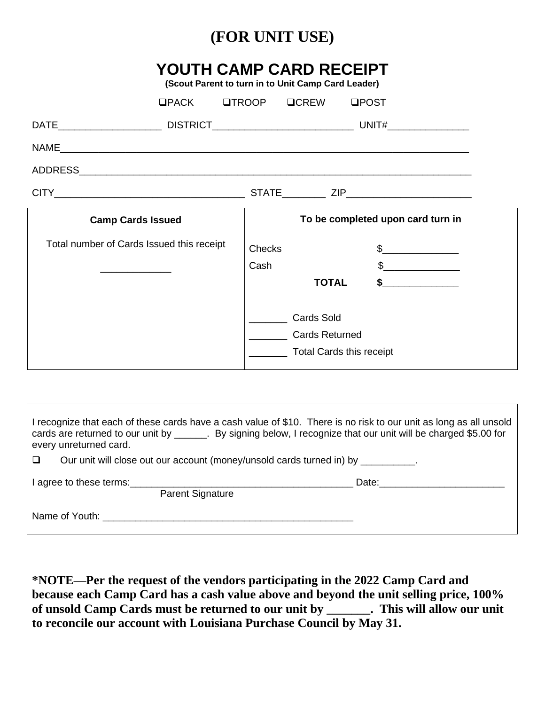#### **(FOR UNIT USE)**

#### **YOUTH CAMP CARD RECEIPT**

**(Scout Parent to turn in to Unit Camp Card Leader)**

|                                           | $UPACK$ | $\Box$ TROOP $\Box$ CREW |                                   | <b>QPOST</b>                                                                                                                                                                                                                                                                                                                                  |  |  |  |  |  |
|-------------------------------------------|---------|--------------------------|-----------------------------------|-----------------------------------------------------------------------------------------------------------------------------------------------------------------------------------------------------------------------------------------------------------------------------------------------------------------------------------------------|--|--|--|--|--|
|                                           |         |                          |                                   |                                                                                                                                                                                                                                                                                                                                               |  |  |  |  |  |
|                                           |         |                          |                                   |                                                                                                                                                                                                                                                                                                                                               |  |  |  |  |  |
|                                           |         |                          |                                   |                                                                                                                                                                                                                                                                                                                                               |  |  |  |  |  |
|                                           |         |                          |                                   |                                                                                                                                                                                                                                                                                                                                               |  |  |  |  |  |
| <b>Camp Cards Issued</b>                  |         |                          | To be completed upon card turn in |                                                                                                                                                                                                                                                                                                                                               |  |  |  |  |  |
| Total number of Cards Issued this receipt |         | <b>Checks</b>            |                                   | $\frac{1}{2}$                                                                                                                                                                                                                                                                                                                                 |  |  |  |  |  |
|                                           |         | Cash                     |                                   | $\begin{picture}(20,20) \put(0,0){\line(1,0){100}} \put(15,0){\line(1,0){100}} \put(15,0){\line(1,0){100}} \put(15,0){\line(1,0){100}} \put(15,0){\line(1,0){100}} \put(15,0){\line(1,0){100}} \put(15,0){\line(1,0){100}} \put(15,0){\line(1,0){100}} \put(15,0){\line(1,0){100}} \put(15,0){\line(1,0){100}} \put(15,0){\line(1,0){100}} \$ |  |  |  |  |  |
|                                           |         |                          | <b>TOTAL</b>                      | $\bullet$ ____________                                                                                                                                                                                                                                                                                                                        |  |  |  |  |  |
|                                           |         |                          | <b>Cards Sold</b>                 |                                                                                                                                                                                                                                                                                                                                               |  |  |  |  |  |
|                                           |         |                          | <b>Cards Returned</b>             |                                                                                                                                                                                                                                                                                                                                               |  |  |  |  |  |
|                                           |         |                          | <b>Total Cards this receipt</b>   |                                                                                                                                                                                                                                                                                                                                               |  |  |  |  |  |

| I recognize that each of these cards have a cash value of \$10. There is no risk to our unit as long as all unsold<br>cards are returned to our unit by _______. By signing below, I recognize that our unit will be charged \$5.00 for<br>every unreturned card. |  |  |  |  |  |  |  |
|-------------------------------------------------------------------------------------------------------------------------------------------------------------------------------------------------------------------------------------------------------------------|--|--|--|--|--|--|--|
| Our unit will close out our account (money/unsold cards turned in) by __________.<br>□                                                                                                                                                                            |  |  |  |  |  |  |  |
| <b>Parent Signature</b>                                                                                                                                                                                                                                           |  |  |  |  |  |  |  |
|                                                                                                                                                                                                                                                                   |  |  |  |  |  |  |  |

**\*NOTE—Per the request of the vendors participating in the 2022 Camp Card and because each Camp Card has a cash value above and beyond the unit selling price, 100% of unsold Camp Cards must be returned to our unit by \_\_\_\_\_\_\_. This will allow our unit to reconcile our account with Louisiana Purchase Council by May 31.**